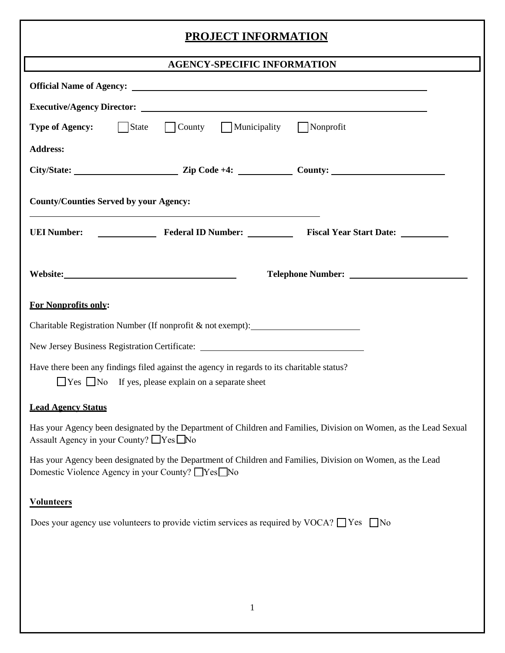## **PROJECT INFORMATION**

| <b>AGENCY-SPECIFIC INFORMATION</b>                                                                                                                                                                                             |
|--------------------------------------------------------------------------------------------------------------------------------------------------------------------------------------------------------------------------------|
|                                                                                                                                                                                                                                |
|                                                                                                                                                                                                                                |
| <b>Type of Agency:</b> State County Municipality Nonprofit                                                                                                                                                                     |
| <b>Address:</b>                                                                                                                                                                                                                |
|                                                                                                                                                                                                                                |
| <b>County/Counties Served by your Agency:</b>                                                                                                                                                                                  |
|                                                                                                                                                                                                                                |
|                                                                                                                                                                                                                                |
| <b>For Nonprofits only:</b>                                                                                                                                                                                                    |
| Charitable Registration Number (If nonprofit & not exempt): _____________________                                                                                                                                              |
| New Jersey Business Registration Certificate: Manual According to the Manual According of the Manual According to the Manual According to the Manual According to the Manual According to the Manual According to the Manual A |
| Have there been any findings filed against the agency in regards to its charitable status?<br>$\Box$ Yes $\Box$ No If yes, please explain on a separate sheet                                                                  |
| <b>Lead Agency Status</b>                                                                                                                                                                                                      |
| Has your Agency been designated by the Department of Children and Families, Division on Women, as the Lead Sexual<br>Assault Agency in your County? □ Yes ■ No                                                                 |
| Has your Agency been designated by the Department of Children and Families, Division on Women, as the Lead<br>Domestic Violence Agency in your County? ■ Yes ■ No                                                              |
| <b>Volunteers</b>                                                                                                                                                                                                              |
| Does your agency use volunteers to provide victim services as required by VOCA? $\Box$ Yes $\Box$ No                                                                                                                           |
|                                                                                                                                                                                                                                |
|                                                                                                                                                                                                                                |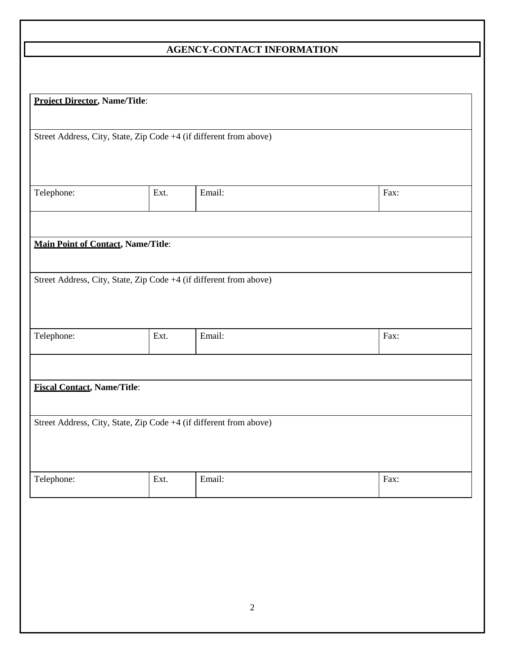## **AGENCY-CONTACT INFORMATION**

| <b>Project Director, Name/Title:</b>      |      |                                                                    |      |  |
|-------------------------------------------|------|--------------------------------------------------------------------|------|--|
|                                           |      |                                                                    |      |  |
|                                           |      | Street Address, City, State, Zip Code +4 (if different from above) |      |  |
|                                           |      |                                                                    |      |  |
|                                           |      |                                                                    |      |  |
| Telephone:                                | Ext. | Email:                                                             | Fax: |  |
|                                           |      |                                                                    |      |  |
|                                           |      |                                                                    |      |  |
| <b>Main Point of Contact, Name/Title:</b> |      |                                                                    |      |  |
|                                           |      |                                                                    |      |  |
|                                           |      | Street Address, City, State, Zip Code +4 (if different from above) |      |  |
|                                           |      |                                                                    |      |  |
|                                           |      |                                                                    |      |  |
| Telephone:                                | Ext. | Email:                                                             | Fax: |  |
|                                           |      |                                                                    |      |  |
|                                           |      |                                                                    |      |  |
| <b>Fiscal Contact, Name/Title:</b>        |      |                                                                    |      |  |
|                                           |      |                                                                    |      |  |
|                                           |      | Street Address, City, State, Zip Code +4 (if different from above) |      |  |
|                                           |      |                                                                    |      |  |
|                                           |      |                                                                    |      |  |
| Telephone:                                | Ext. | Email:                                                             | Fax: |  |
|                                           |      |                                                                    |      |  |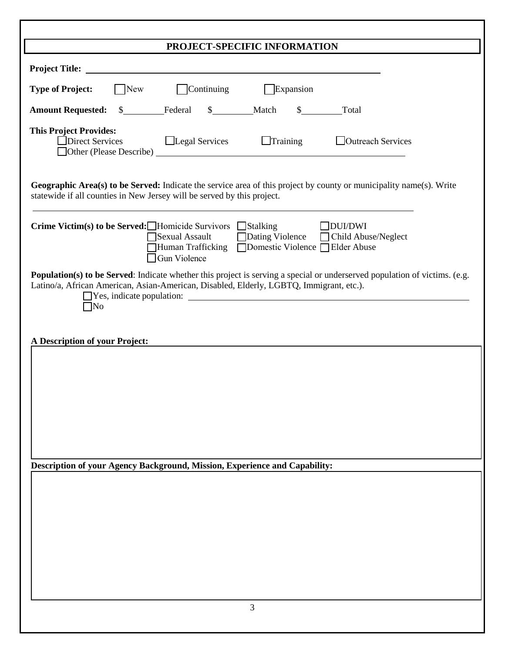| PROJECT-SPECIFIC INFORMATION                                                                                                                                                                                                              |  |  |  |  |  |
|-------------------------------------------------------------------------------------------------------------------------------------------------------------------------------------------------------------------------------------------|--|--|--|--|--|
|                                                                                                                                                                                                                                           |  |  |  |  |  |
| <b>Continuing</b><br>Expansion<br><b>Type of Project:</b><br>New                                                                                                                                                                          |  |  |  |  |  |
| Federal<br>\$ Match<br>$\mathbb{S}$<br>Total<br><b>Amount Requested:</b><br>$\frac{\text{S}}{\text{S}}$                                                                                                                                   |  |  |  |  |  |
| <b>This Project Provides:</b><br>$\Box$ Training<br>□ Outreach Services<br>Direct Services<br>Legal Services                                                                                                                              |  |  |  |  |  |
| Geographic Area(s) to be Served: Indicate the service area of this project by county or municipality name(s). Write<br>statewide if all counties in New Jersey will be served by this project.                                            |  |  |  |  |  |
| <b>Crime Victim(s) to be Served:</b> Homicide Survivors Stalking<br>DUI/DWI<br>Sexual Assault<br>Dating Violence<br>□ Child Abuse/Neglect<br>Human Trafficking Domestic Violence Elder Abuse<br>$\Box$ Gun Violence                       |  |  |  |  |  |
| <b>Population(s) to be Served:</b> Indicate whether this project is serving a special or underserved population of victims. (e.g.<br>Latino/a, African American, Asian-American, Disabled, Elderly, LGBTQ, Immigrant, etc.).<br>$\neg$ No |  |  |  |  |  |
| A Description of your Project:                                                                                                                                                                                                            |  |  |  |  |  |
|                                                                                                                                                                                                                                           |  |  |  |  |  |
|                                                                                                                                                                                                                                           |  |  |  |  |  |
|                                                                                                                                                                                                                                           |  |  |  |  |  |
|                                                                                                                                                                                                                                           |  |  |  |  |  |
|                                                                                                                                                                                                                                           |  |  |  |  |  |
| Description of your Agency Background, Mission, Experience and Capability:                                                                                                                                                                |  |  |  |  |  |
|                                                                                                                                                                                                                                           |  |  |  |  |  |
|                                                                                                                                                                                                                                           |  |  |  |  |  |
|                                                                                                                                                                                                                                           |  |  |  |  |  |
|                                                                                                                                                                                                                                           |  |  |  |  |  |
|                                                                                                                                                                                                                                           |  |  |  |  |  |
|                                                                                                                                                                                                                                           |  |  |  |  |  |
| 3                                                                                                                                                                                                                                         |  |  |  |  |  |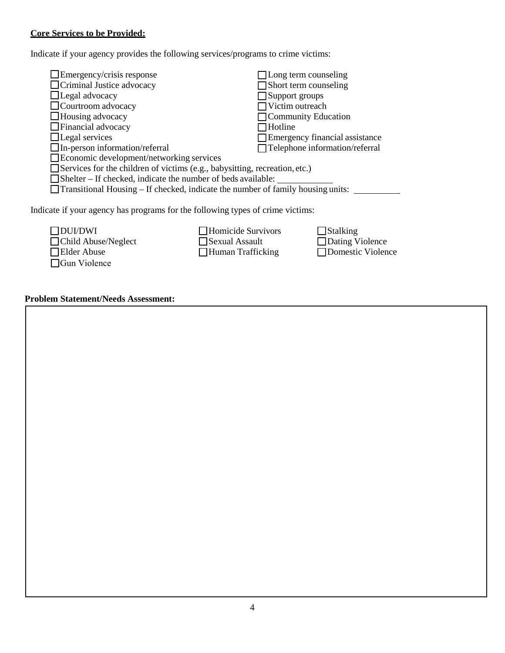## **Core Services to be Provided:**

Indicate if your agency provides the following services/programs to crime victims:

| $\Box$ Emergency/crisis response                                                       |                     | $\Box$ Long term counseling    |  |  |
|----------------------------------------------------------------------------------------|---------------------|--------------------------------|--|--|
| $\Box$ Criminal Justice advocacy                                                       |                     | Short term counseling          |  |  |
| $\Box$ Legal advocacy                                                                  |                     | $\Box$ Support groups          |  |  |
| $\Box$ Courtroom advocacy                                                              |                     | Victim outreach                |  |  |
| $\Box$ Housing advocacy                                                                |                     | Community Education            |  |  |
| $\Box$ Financial advocacy                                                              | Hotline <sup></sup> |                                |  |  |
| $\Box$ Legal services                                                                  |                     | Emergency financial assistance |  |  |
| $\Box$ In-person information/referral                                                  |                     | Telephone information/referral |  |  |
| $\Box$ Economic development/networking services                                        |                     |                                |  |  |
| Services for the children of victims (e.g., babysitting, recreation, etc.)             |                     |                                |  |  |
| $\Box$ Shelter – If checked, indicate the number of beds available:                    |                     |                                |  |  |
| $\Box$ Transitional Housing – If checked, indicate the number of family housing units: |                     |                                |  |  |
| Indicate if your agency has programs for the following types of crime victims:         |                     |                                |  |  |
| <b>DUI/DWI</b>                                                                         | Homicide Survivors  | Stalking                       |  |  |
| Child Abuse/Neglect                                                                    | Sexual Assault      | Dating Violence                |  |  |
| <b>Elder Abuse</b>                                                                     | □ Human Trafficking | <b>Domestic Violence</b>       |  |  |

## **Problem Statement/Needs Assessment:**

□Gun Violence